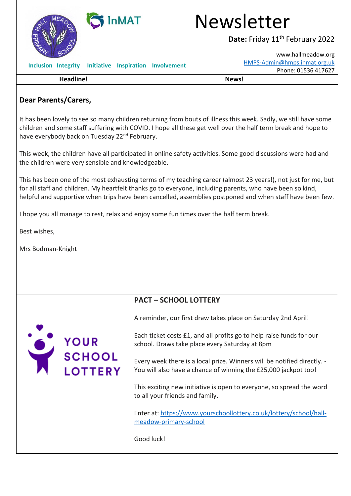

## **Dear Parents/Carers,**

It has been lovely to see so many children returning from bouts of illness this week. Sadly, we still have some children and some staff suffering with COVID. I hope all these get well over the half term break and hope to have everybody back on Tuesday 22<sup>nd</sup> February.

This week, the children have all participated in online safety activities. Some good discussions were had and the children were very sensible and knowledgeable.

This has been one of the most exhausting terms of my teaching career (almost 23 years!), not just for me, but for all staff and children. My heartfelt thanks go to everyone, including parents, who have been so kind, helpful and supportive when trips have been cancelled, assemblies postponed and when staff have been few.

I hope you all manage to rest, relax and enjoy some fun times over the half term break.

Best wishes,

Mrs Bodman-Knight

YOUR<br>SCHOOL

| <b>PACT - SCHOOL LOTTERY</b> |
|------------------------------|
|------------------------------|

A reminder, our first draw takes place on Saturday 2nd April!

Each ticket costs £1, and all profits go to help raise funds for our school. Draws take place every Saturday at 8pm

Every week there is a local prize. Winners will be notified directly. - You will also have a chance of winning the £25,000 jackpot too!

This exciting new initiative is open to everyone, so spread the word to all your friends and family.

Enter at: [https://www.yourschoollottery.co.uk/lottery/school/hall](https://www.yourschoollottery.co.uk/lottery/school/hall-meadow-primary-school)[meadow-primary-school](https://www.yourschoollottery.co.uk/lottery/school/hall-meadow-primary-school)

Good luck!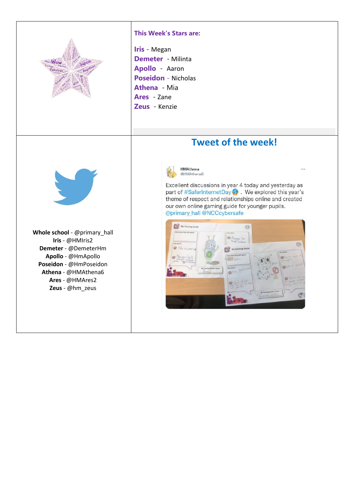